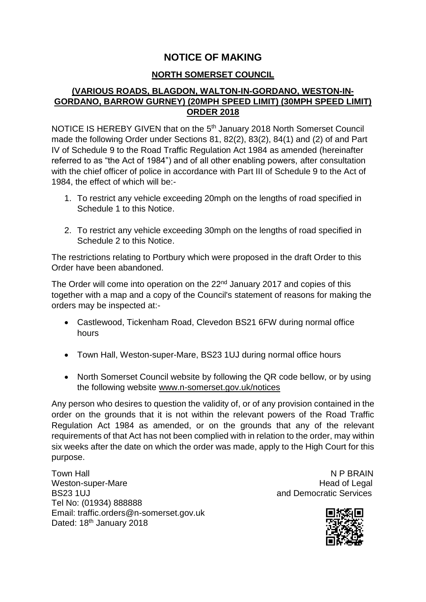# **NOTICE OF MAKING**

### **NORTH SOMERSET COUNCIL**

## **(VARIOUS ROADS, BLAGDON, WALTON-IN-GORDANO, WESTON-IN-GORDANO, BARROW GURNEY) (20MPH SPEED LIMIT) (30MPH SPEED LIMIT) ORDER 2018**

NOTICE IS HEREBY GIVEN that on the 5<sup>th</sup> January 2018 North Somerset Council made the following Order under Sections 81, 82(2), 83(2), 84(1) and (2) of and Part IV of Schedule 9 to the Road Traffic Regulation Act 1984 as amended (hereinafter referred to as "the Act of 1984") and of all other enabling powers, after consultation with the chief officer of police in accordance with Part III of Schedule 9 to the Act of 1984, the effect of which will be:-

- 1. To restrict any vehicle exceeding 20mph on the lengths of road specified in Schedule 1 to this Notice.
- 2. To restrict any vehicle exceeding 30mph on the lengths of road specified in Schedule 2 to this Notice.

The restrictions relating to Portbury which were proposed in the draft Order to this Order have been abandoned.

The Order will come into operation on the 22<sup>nd</sup> January 2017 and copies of this together with a map and a copy of the Council's statement of reasons for making the orders may be inspected at:-

- Castlewood, Tickenham Road, Clevedon BS21 6FW during normal office hours
- Town Hall, Weston-super-Mare, BS23 1UJ during normal office hours
- North Somerset Council website by following the QR code bellow, or by using the following website [www.n-somerset.gov.uk/notices](http://www.n-somerset.gov.uk/notices)

Any person who desires to question the validity of, or of any provision contained in the order on the grounds that it is not within the relevant powers of the Road Traffic Regulation Act 1984 as amended, or on the grounds that any of the relevant requirements of that Act has not been complied with in relation to the order, may within six weeks after the date on which the order was made, apply to the High Court for this purpose.

Town Hall Note that the state of the state of the N P BRAIN Weston-super-Mare **Head of Legal** BS23 1UJ and Democratic Services Tel No: (01934) 888888 Email: traffic.orders@n-somerset.gov.uk Dated: 18<sup>th</sup> January 2018

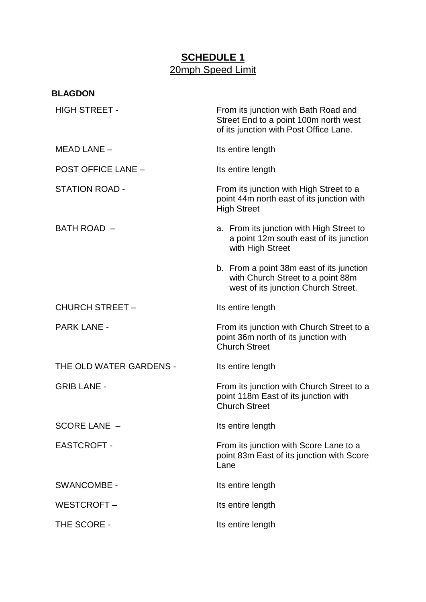# **SCHEDULE 1** 20mph Speed Limit

| <b>BLAGDON</b>            |                                                                                                                         |
|---------------------------|-------------------------------------------------------------------------------------------------------------------------|
| <b>HIGH STREET -</b>      | From its junction with Bath Road and<br>Street End to a point 100m north west<br>of its junction with Post Office Lane. |
| MEAD LANE -               | Its entire length                                                                                                       |
| <b>POST OFFICE LANE -</b> | Its entire length                                                                                                       |
| STATION ROAD -            | From its junction with High Street to a<br>point 44m north east of its junction with<br><b>High Street</b>              |
| BATH ROAD -               | a. From its junction with High Street to<br>a point 12m south east of its junction<br>with High Street                  |
|                           | b. From a point 38m east of its junction<br>with Church Street to a point 88m<br>west of its junction Church Street.    |
| <b>CHURCH STREET -</b>    | Its entire length                                                                                                       |
| <b>PARK LANE -</b>        | From its junction with Church Street to a<br>point 36m north of its junction with<br><b>Church Street</b>               |
| THE OLD WATER GARDENS -   | Its entire length                                                                                                       |
| <b>GRIB LANE -</b>        | From its junction with Church Street to a<br>point 118m East of its junction with<br><b>Church Street</b>               |
| <b>SCORE LANE -</b>       | Its entire length                                                                                                       |
| <b>EASTCROFT -</b>        | From its junction with Score Lane to a<br>point 83m East of its junction with Score<br>Lane                             |
| <b>SWANCOMBE -</b>        | Its entire length                                                                                                       |
| WESTCROFT -               | Its entire length                                                                                                       |
| THE SCORE -               | Its entire length                                                                                                       |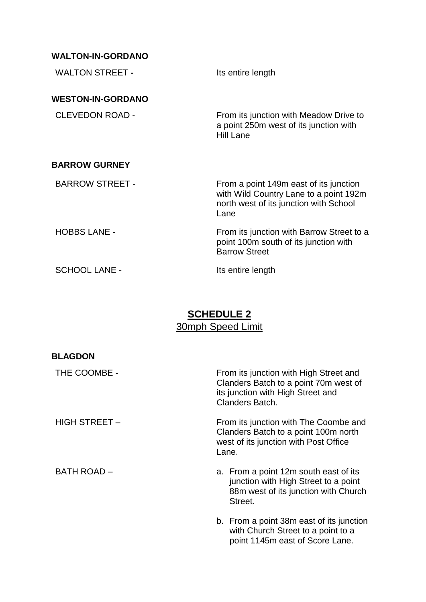## **WALTON-IN-GORDANO**

| <b>WALTON STREET -</b>   | Its entire length                                                                                                                  |
|--------------------------|------------------------------------------------------------------------------------------------------------------------------------|
| <b>WESTON-IN-GORDANO</b> |                                                                                                                                    |
| <b>CLEVEDON ROAD -</b>   | From its junction with Meadow Drive to<br>a point 250m west of its junction with<br><b>Hill Lane</b>                               |
| <b>BARROW GURNEY</b>     |                                                                                                                                    |
| <b>BARROW STREET -</b>   | From a point 149m east of its junction<br>with Wild Country Lane to a point 192m<br>north west of its junction with School<br>Lane |
| <b>HOBBS LANE -</b>      | From its junction with Barrow Street to a<br>point 100m south of its junction with<br><b>Barrow Street</b>                         |
| <b>SCHOOL LANE -</b>     | Its entire length                                                                                                                  |

# **SCHEDULE 2**  30mph Speed Limit

| <b>BLAGDON</b>       |                                                                                                                                         |
|----------------------|-----------------------------------------------------------------------------------------------------------------------------------------|
| THE COOMBE -         | From its junction with High Street and<br>Clanders Batch to a point 70m west of<br>its junction with High Street and<br>Clanders Batch. |
| <b>HIGH STREET -</b> | From its junction with The Coombe and<br>Clanders Batch to a point 100m north<br>west of its junction with Post Office<br>Lane.         |
| <b>BATH ROAD -</b>   | a. From a point 12m south east of its<br>junction with High Street to a point<br>88m west of its junction with Church<br>Street.        |
|                      | b. From a point 38m east of its junction<br>with Church Street to a point to a<br>point 1145m east of Score Lane.                       |